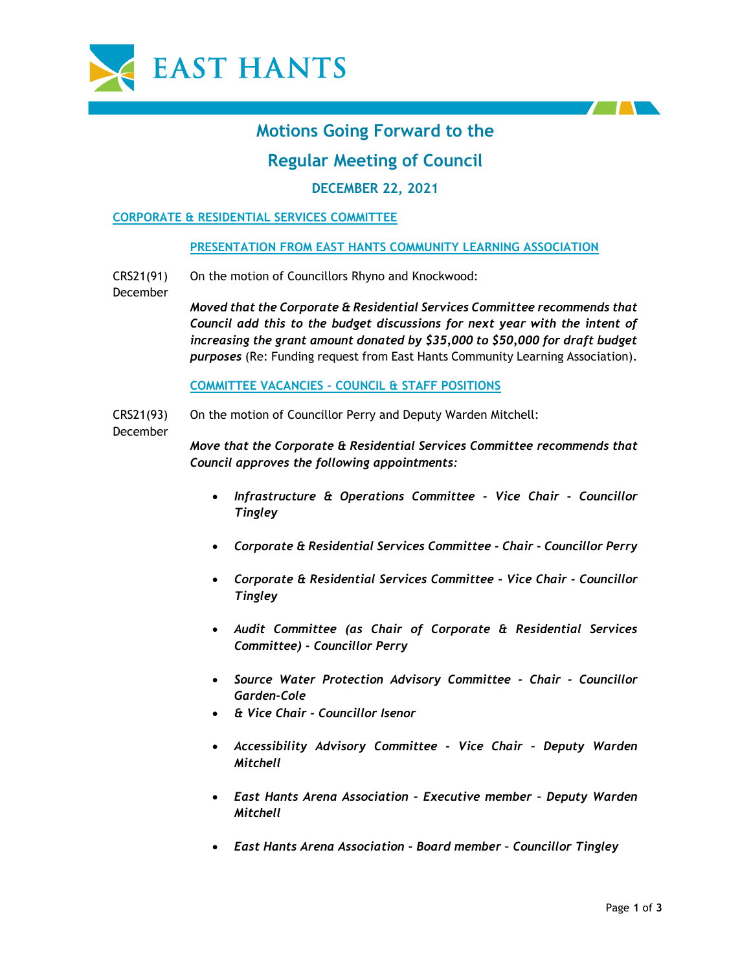



# **Motions Going Forward to the**

# **Regular Meeting of Council**

# **DECEMBER 22, 2021**

# **CORPORATE & RESIDENTIAL SERVICES COMMITTEE**

# **PRESENTATION FROM EAST HANTS COMMUNITY LEARNING ASSOCIATION**

CRS21(91) On the motion of Councillors Rhyno and Knockwood:

> *Moved that the Corporate & Residential Services Committee recommends that Council add this to the budget discussions for next year with the intent of increasing the grant amount donated by \$35,000 to \$50,000 for draft budget purposes* (Re: Funding request from East Hants Community Learning Association).

**COMMITTEE VACANCIES - COUNCIL & STAFF POSITIONS**

CRS21(93) On the motion of Councillor Perry and Deputy Warden Mitchell:

December

December

*Move that the Corporate & Residential Services Committee recommends that Council approves the following appointments:*

- *Infrastructure & Operations Committee - Vice Chair - Councillor Tingley*
- *Corporate & Residential Services Committee - Chair - Councillor Perry*
- *Corporate & Residential Services Committee - Vice Chair - Councillor Tingley*
- *Audit Committee (as Chair of Corporate & Residential Services Committee) - Councillor Perry*
- *Source Water Protection Advisory Committee - Chair - Councillor Garden-Cole*
- *& Vice Chair - Councillor Isenor*
- *Accessibility Advisory Committee - Vice Chair – Deputy Warden Mitchell*
- *East Hants Arena Association - Executive member – Deputy Warden Mitchell*
- *East Hants Arena Association - Board member – Councillor Tingley*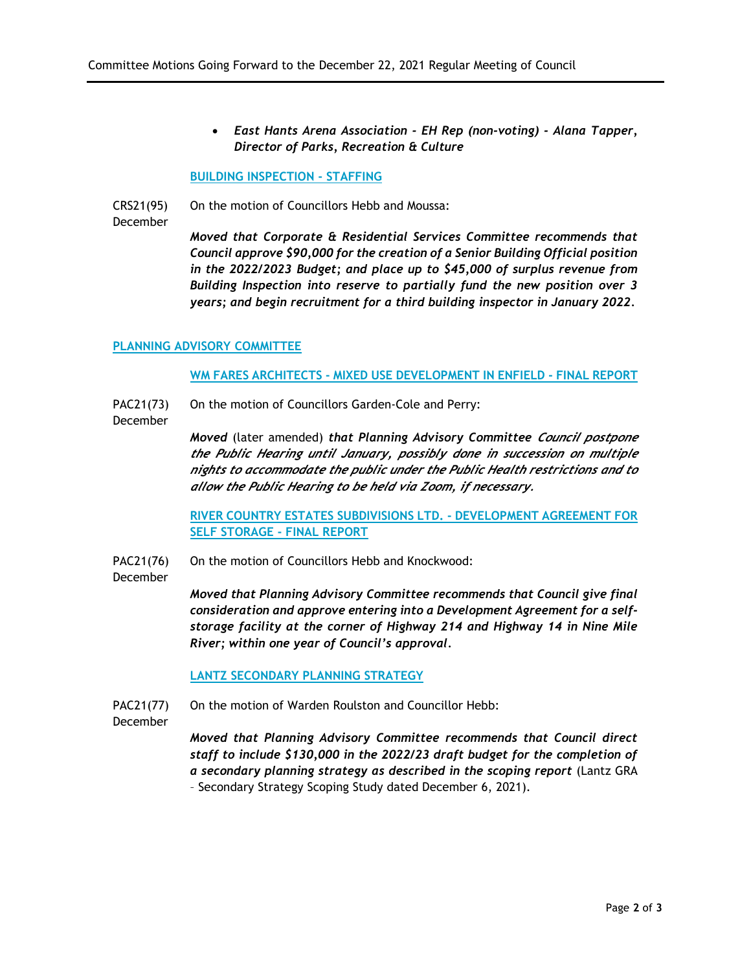• *East Hants Arena Association - EH Rep (non-voting) - Alana Tapper, Director of Parks, Recreation & Culture*

#### **BUILDING INSPECTION - STAFFING**

CRS21(95) December On the motion of Councillors Hebb and Moussa:

*Moved that Corporate & Residential Services Committee recommends that Council approve \$90,000 for the creation of a Senior Building Official position in the 2022/2023 Budget; and place up to \$45,000 of surplus revenue from Building Inspection into reserve to partially fund the new position over 3 years; and begin recruitment for a third building inspector in January 2022.*

# **PLANNING ADVISORY COMMITTEE**

#### **WM FARES ARCHITECTS - MIXED USE DEVELOPMENT IN ENFIELD - FINAL REPORT**

- PAC21(73) On the motion of Councillors Garden-Cole and Perry:
- December

*Moved* (later amended) *that Planning Advisory Committee Council postpone the Public Hearing until January, possibly done in succession on multiple nights to accommodate the public under the Public Health restrictions and to allow the Public Hearing to be held via Zoom, if necessary.*

**RIVER COUNTRY ESTATES SUBDIVISIONS LTD. - DEVELOPMENT AGREEMENT FOR SELF STORAGE - FINAL REPORT**

- PAC21(76) On the motion of Councillors Hebb and Knockwood:
- December

*Moved that Planning Advisory Committee recommends that Council give final consideration and approve entering into a Development Agreement for a selfstorage facility at the corner of Highway 214 and Highway 14 in Nine Mile River; within one year of Council's approval.*

**LANTZ SECONDARY PLANNING STRATEGY**

PAC21(77) On the motion of Warden Roulston and Councillor Hebb:

December

*Moved that Planning Advisory Committee recommends that Council direct staff to include \$130,000 in the 2022/23 draft budget for the completion of a secondary planning strategy as described in the scoping report* (Lantz GRA – Secondary Strategy Scoping Study dated December 6, 2021).